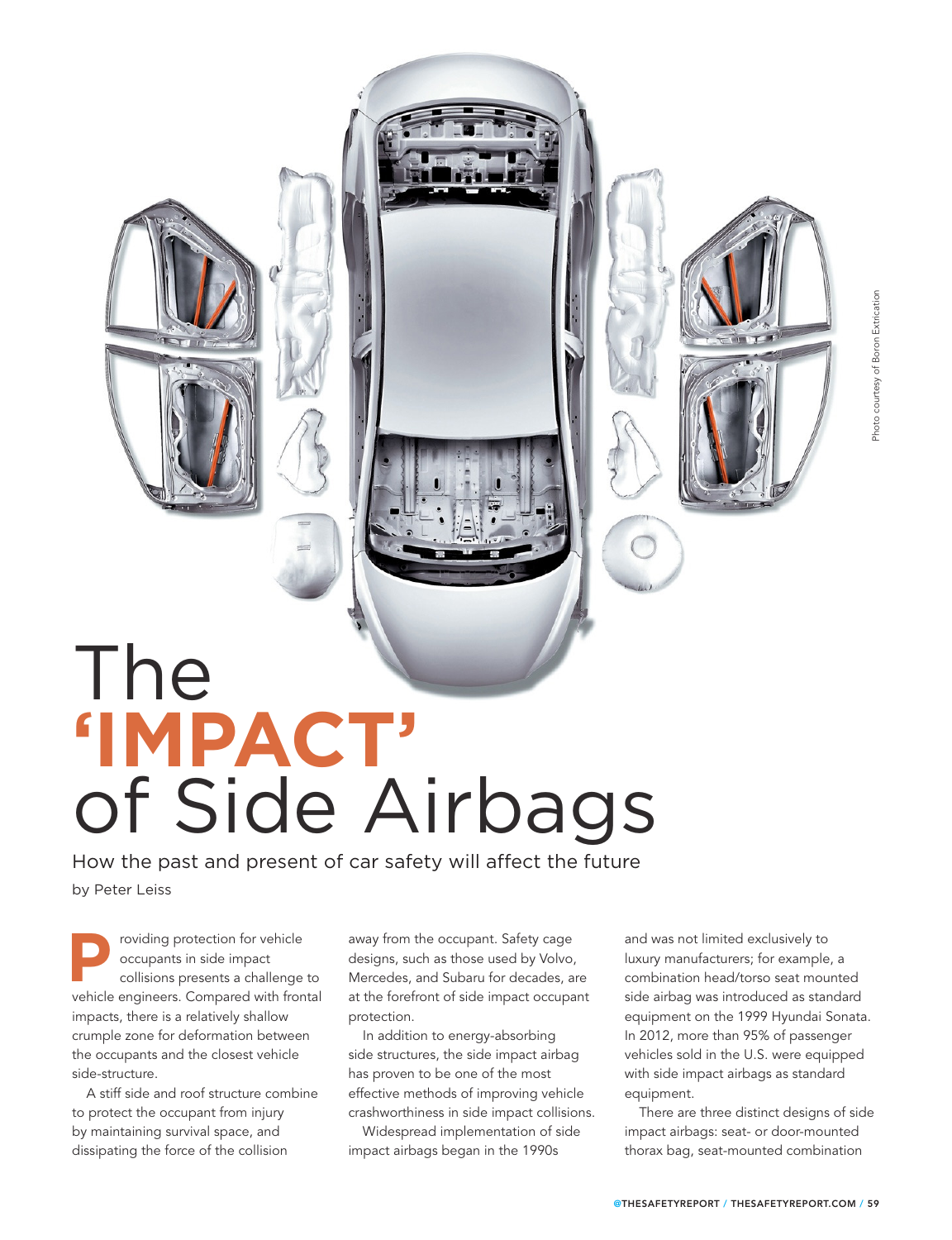## The of Side Airbags **'IMPACT'**

How the past and present of car safety will affect the future by Peter Leiss

roviding protection for vehicle

occupants in side impact collisions presents a challenge to **P** voiding protection for vehicle occupants in side impact collisions presents a challenge to vehicle engineers. Compared with frontal impacts, there is a relatively shallow crumple zone for deformation between the occupants and the closest vehicle side-structure.

A stiff side and roof structure combine to protect the occupant from injury by maintaining survival space, and dissipating the force of the collision

away from the occupant. Safety cage designs, such as those used by Volvo, Mercedes, and Subaru for decades, are at the forefront of side impact occupant protection.

In addition to energy-absorbing side structures, the side impact airbag has proven to be one of the most effective methods of improving vehicle crashworthiness in side impact collisions.

Widespread implementation of side impact airbags began in the 1990s

and was not limited exclusively to luxury manufacturers; for example, a combination head/torso seat mounted side airbag was introduced as standard equipment on the 1999 Hyundai Sonata. In 2012, more than 95% of passenger vehicles sold in the U.S. were equipped with side impact airbags as standard equipment.

There are three distinct designs of side impact airbags: seat- or door-mounted thorax bag, seat-mounted combination